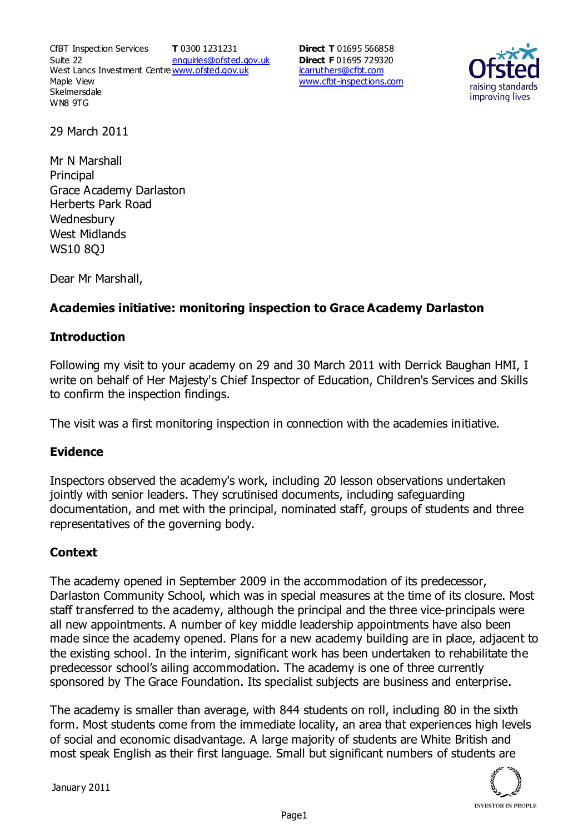CfBT Inspection Services Suite 22 West Lancs Investment Centre<u>www.ofsted.gov.uk</u> Maple View **Skelmersdale** WN8 9TG **T** 0300 1231231 enquiries@ofsted.gov.uk

**Direct T** 01695 566858 **Direct F** 01695 729320 lcarruthers@cfbt.com www.cfbt-inspections.com



29 March 2011

Mr N Marshall **Principal** Grace Academy Darlaston Herberts Park Road **Wednesbury** West Midlands WS10 8QJ

Dear Mr Marshall,

# **Academies initiative: monitoring inspection to Grace Academy Darlaston**

#### **Introduction**

Following my visit to your academy on 29 and 30 March 2011 with Derrick Baughan HMI, I write on behalf of Her Majesty's Chief Inspector of Education, Children's Services and Skills to confirm the inspection findings.

The visit was a first monitoring inspection in connection with the academies initiative.

## **Evidence**

Inspectors observed the academy's work, including 20 lesson observations undertaken jointly with senior leaders. They scrutinised documents, including safeguarding documentation, and met with the principal, nominated staff, groups of students and three representatives of the governing body.

## **Context**

The academy opened in September 2009 in the accommodation of its predecessor, Darlaston Community School, which was in special measures at the time of its closure. Most staff transferred to the academy, although the principal and the three vice-principals were all new appointments. A number of key middle leadership appointments have also been made since the academy opened. Plans for a new academy building are in place, adjacent to the existing school. In the interim, significant work has been undertaken to rehabilitate the predecessor school's ailing accommodation. The academy is one of three currently sponsored by The Grace Foundation. Its specialist subjects are business and enterprise.

The academy is smaller than average, with 844 students on roll, including 80 in the sixth form. Most students come from the immediate locality, an area that experiences high levels of social and economic disadvantage. A large majority of students are White British and most speak English as their first language. Small but significant numbers of students are

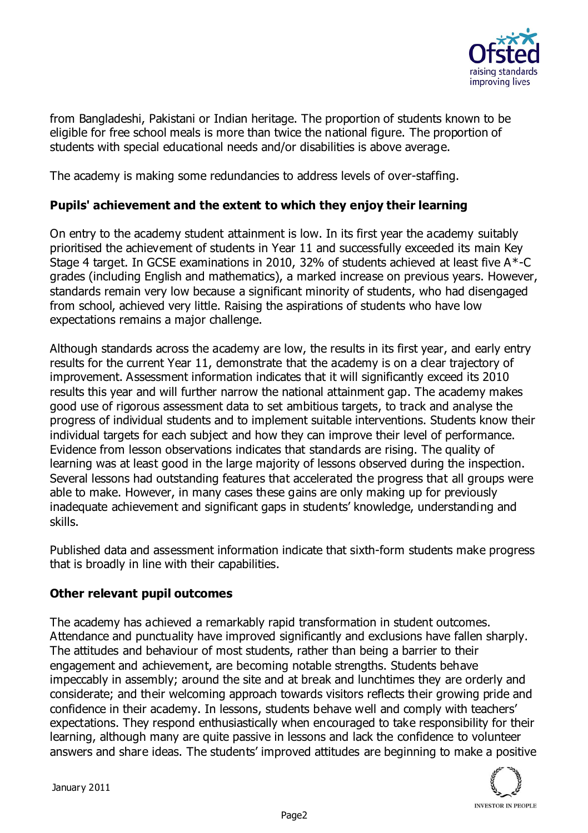

from Bangladeshi, Pakistani or Indian heritage. The proportion of students known to be eligible for free school meals is more than twice the national figure. The proportion of students with special educational needs and/or disabilities is above average.

The academy is making some redundancies to address levels of over-staffing.

# **Pupils' achievement and the extent to which they enjoy their learning**

On entry to the academy student attainment is low. In its first year the academy suitably prioritised the achievement of students in Year 11 and successfully exceeded its main Key Stage 4 target. In GCSE examinations in 2010, 32% of students achieved at least five A\*-C grades (including English and mathematics), a marked increase on previous years. However, standards remain very low because a significant minority of students, who had disengaged from school, achieved very little. Raising the aspirations of students who have low expectations remains a major challenge.

Although standards across the academy are low, the results in its first year, and early entry results for the current Year 11, demonstrate that the academy is on a clear trajectory of improvement. Assessment information indicates that it will significantly exceed its 2010 results this year and will further narrow the national attainment gap. The academy makes good use of rigorous assessment data to set ambitious targets, to track and analyse the progress of individual students and to implement suitable interventions. Students know their individual targets for each subject and how they can improve their level of performance. Evidence from lesson observations indicates that standards are rising. The quality of learning was at least good in the large majority of lessons observed during the inspection. Several lessons had outstanding features that accelerated the progress that all groups were able to make. However, in many cases these gains are only making up for previously inadequate achievement and significant gaps in students' knowledge, understanding and skills.

Published data and assessment information indicate that sixth-form students make progress that is broadly in line with their capabilities.

## **Other relevant pupil outcomes**

The academy has achieved a remarkably rapid transformation in student outcomes. Attendance and punctuality have improved significantly and exclusions have fallen sharply. The attitudes and behaviour of most students, rather than being a barrier to their engagement and achievement, are becoming notable strengths. Students behave impeccably in assembly; around the site and at break and lunchtimes they are orderly and considerate; and their welcoming approach towards visitors reflects their growing pride and confidence in their academy. In lessons, students behave well and comply with teachers' expectations. They respond enthusiastically when encouraged to take responsibility for their learning, although many are quite passive in lessons and lack the confidence to volunteer answers and share ideas. The students' improved attitudes are beginning to make a positive

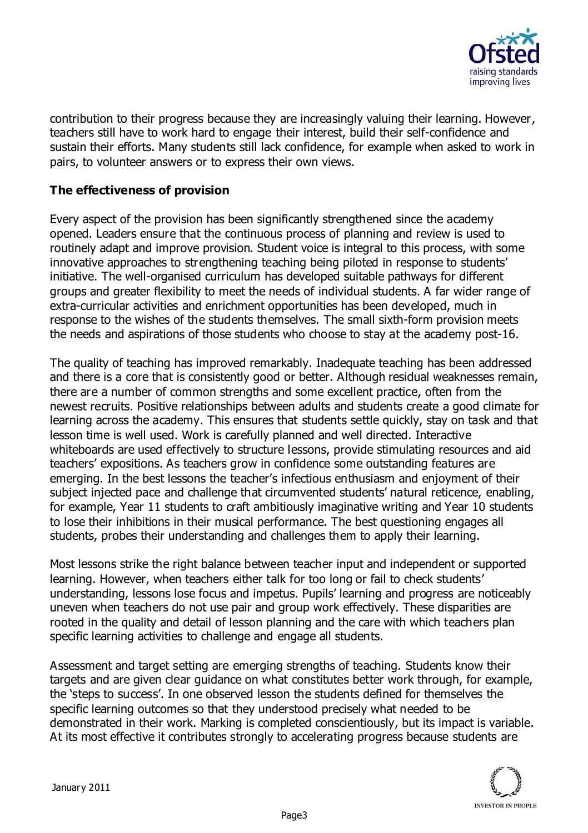

contribution to their progress because they are increasingly valuing their learning. However, teachers still have to work hard to engage their interest, build their self-confidence and sustain their efforts. Many students still lack confidence, for example when asked to work in pairs, to volunteer answers or to express their own views.

# **The effectiveness of provision**

Every aspect of the provision has been significantly strengthened since the academy opened. Leaders ensure that the continuous process of planning and review is used to routinely adapt and improve provision. Student voice is integral to this process, with some innovative approaches to strengthening teaching being piloted in response to students' initiative. The well-organised curriculum has developed suitable pathways for different groups and greater flexibility to meet the needs of individual students. A far wider range of extra-curricular activities and enrichment opportunities has been developed, much in response to the wishes of the students themselves. The small sixth-form provision meets the needs and aspirations of those students who choose to stay at the academy post-16.

The quality of teaching has improved remarkably. Inadequate teaching has been addressed and there is a core that is consistently good or better. Although residual weaknesses remain, there are a number of common strengths and some excellent practice, often from the newest recruits. Positive relationships between adults and students create a good climate for learning across the academy. This ensures that students settle quickly, stay on task and that lesson time is well used. Work is carefully planned and well directed. Interactive whiteboards are used effectively to structure lessons, provide stimulating resources and aid teachers' expositions. As teachers grow in confidence some outstanding features are emerging. In the best lessons the teacher's infectious enthusiasm and enjoyment of their subject injected pace and challenge that circumvented students' natural reticence, enabling, for example, Year 11 students to craft ambitiously imaginative writing and Year 10 students to lose their inhibitions in their musical performance. The best questioning engages all students, probes their understanding and challenges them to apply their learning.

Most lessons strike the right balance between teacher input and independent or supported learning. However, when teachers either talk for too long or fail to check students' understanding, lessons lose focus and impetus. Pupils' learning and progress are noticeably uneven when teachers do not use pair and group work effectively. These disparities are rooted in the quality and detail of lesson planning and the care with which teachers plan specific learning activities to challenge and engage all students.

Assessment and target setting are emerging strengths of teaching. Students know their targets and are given clear guidance on what constitutes better work through, for example, the 'steps to success'. In one observed lesson the students defined for themselves the specific learning outcomes so that they understood precisely what needed to be demonstrated in their work. Marking is completed conscientiously, but its impact is variable. At its most effective it contributes strongly to accelerating progress because students are

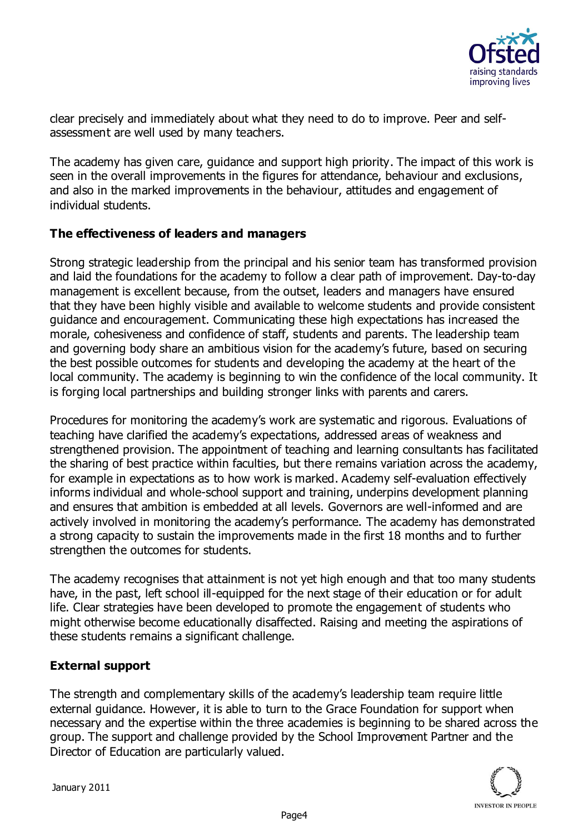

clear precisely and immediately about what they need to do to improve. Peer and selfassessment are well used by many teachers.

The academy has given care, guidance and support high priority. The impact of this work is seen in the overall improvements in the figures for attendance, behaviour and exclusions, and also in the marked improvements in the behaviour, attitudes and engagement of individual students.

## **The effectiveness of leaders and managers**

Strong strategic leadership from the principal and his senior team has transformed provision and laid the foundations for the academy to follow a clear path of improvement. Day-to-day management is excellent because, from the outset, leaders and managers have ensured that they have been highly visible and available to welcome students and provide consistent guidance and encouragement. Communicating these high expectations has increased the morale, cohesiveness and confidence of staff, students and parents. The leadership team and governing body share an ambitious vision for the academy's future, based on securing the best possible outcomes for students and developing the academy at the heart of the local community. The academy is beginning to win the confidence of the local community. It is forging local partnerships and building stronger links with parents and carers.

Procedures for monitoring the academy's work are systematic and rigorous. Evaluations of teaching have clarified the academy's expectations, addressed areas of weakness and strengthened provision. The appointment of teaching and learning consultants has facilitated the sharing of best practice within faculties, but there remains variation across the academy, for example in expectations as to how work is marked. Academy self-evaluation effectively informs individual and whole-school support and training, underpins development planning and ensures that ambition is embedded at all levels. Governors are well-informed and are actively involved in monitoring the academy's performance. The academy has demonstrated a strong capacity to sustain the improvements made in the first 18 months and to further strengthen the outcomes for students.

The academy recognises that attainment is not yet high enough and that too many students have, in the past, left school ill-equipped for the next stage of their education or for adult life. Clear strategies have been developed to promote the engagement of students who might otherwise become educationally disaffected. Raising and meeting the aspirations of these students remains a significant challenge.

## **External support**

The strength and complementary skills of the academy's leadership team require little external guidance. However, it is able to turn to the Grace Foundation for support when necessary and the expertise within the three academies is beginning to be shared across the group. The support and challenge provided by the School Improvement Partner and the Director of Education are particularly valued.